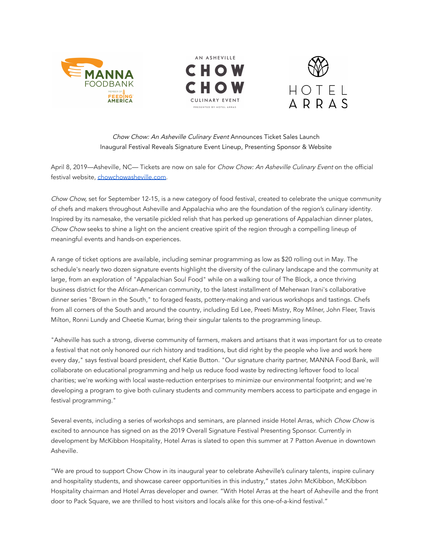





## Chow Chow: An Asheville Culinary Event Announces Ticket Sales Launch Inaugural Festival Reveals Signature Event Lineup, Presenting Sponsor & Website

April 8, 2019—Asheville, NC— Tickets are now on sale for Chow Chow: An Asheville Culinary Event on the official festival website, [chowchowasheville.com.](http://chowchowavl.com/)

Chow Chow, set for September 12-15, is a new category of food festival, created to celebrate the unique community of chefs and makers throughout Asheville and Appalachia who are the foundation of the region's culinary identity. Inspired by its namesake, the versatile pickled relish that has perked up generations of Appalachian dinner plates, Chow Chow seeks to shine a light on the ancient creative spirit of the region through a compelling lineup of meaningful events and hands-on experiences.

A range of ticket options are available, including seminar programming as low as \$20 rolling out in May. The schedule's nearly two dozen signature events highlight the diversity of the culinary landscape and the community at large, from an exploration of "Appalachian Soul Food" while on a walking tour of The Block, a once thriving business district for the African-American community, to the latest installment of Meherwan Irani's collaborative dinner series "Brown in the South," to foraged feasts, pottery-making and various workshops and tastings. Chefs from all corners of the South and around the country, including Ed Lee, Preeti Mistry, Roy Milner, John Fleer, Travis Milton, Ronni Lundy and Cheetie Kumar, bring their singular talents to the programming lineup.

"Asheville has such a strong, diverse community of farmers, makers and artisans that it was important for us to create a festival that not only honored our rich history and traditions, but did right by the people who live and work here every day," says festival board president, chef Katie Button. "Our signature charity partner, MANNA Food Bank, will collaborate on educational programming and help us reduce food waste by redirecting leftover food to local charities; we're working with local waste-reduction enterprises to minimize our environmental footprint; and we're developing a program to give both culinary students and community members access to participate and engage in festival programming."

Several events, including a series of workshops and seminars, are planned inside Hotel Arras, which Chow Chow is excited to announce has signed on as the 2019 Overall Signature Festival Presenting Sponsor. Currently in development by McKibbon Hospitality, Hotel Arras is slated to open this summer at 7 Patton Avenue in downtown Asheville.

"We are proud to support Chow Chow in its inaugural year to celebrate Asheville's culinary talents, inspire culinary and hospitality students, and showcase career opportunities in this industry," states John McKibbon, McKibbon Hospitality chairman and Hotel Arras developer and owner. "With Hotel Arras at the heart of Asheville and the front door to Pack Square, we are thrilled to host visitors and locals alike for this one-of-a-kind festival."